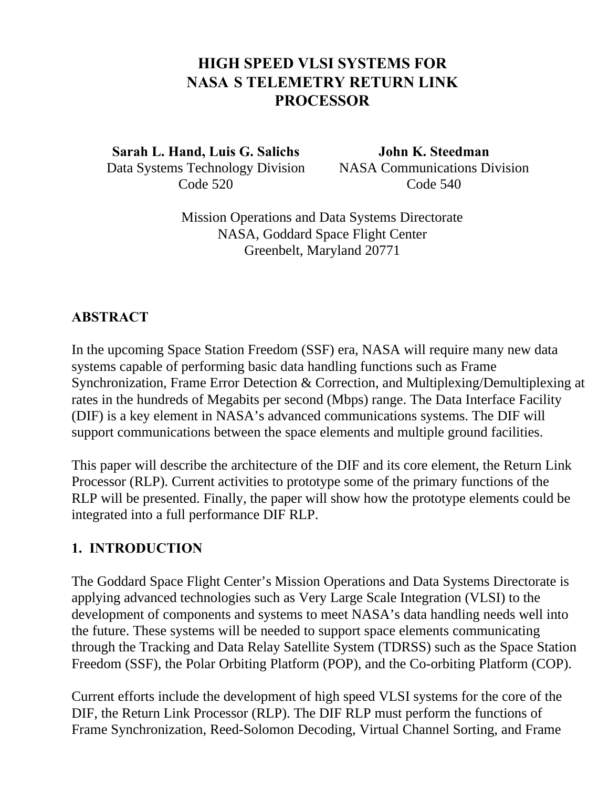# **HIGH SPEED VLSI SYSTEMS FOR NASA'S TELEMETRY RETURN LINK PROCESSOR**

**Sarah L. Hand, Luis G. Salichs John K. Steedman** Data Systems Technology Division NASA Communications Division Code 520 Code 540

Mission Operations and Data Systems Directorate NASA, Goddard Space Flight Center Greenbelt, Maryland 20771

#### **ABSTRACT**

In the upcoming Space Station Freedom (SSF) era, NASA will require many new data systems capable of performing basic data handling functions such as Frame Synchronization, Frame Error Detection & Correction, and Multiplexing/Demultiplexing at rates in the hundreds of Megabits per second (Mbps) range. The Data Interface Facility (DIF) is a key element in NASA's advanced communications systems. The DIF will support communications between the space elements and multiple ground facilities.

This paper will describe the architecture of the DIF and its core element, the Return Link Processor (RLP). Current activities to prototype some of the primary functions of the RLP will be presented. Finally, the paper will show how the prototype elements could be integrated into a full performance DIF RLP.

#### **1. INTRODUCTION**

The Goddard Space Flight Center's Mission Operations and Data Systems Directorate is applying advanced technologies such as Very Large Scale Integration (VLSI) to the development of components and systems to meet NASA's data handling needs well into the future. These systems will be needed to support space elements communicating through the Tracking and Data Relay Satellite System (TDRSS) such as the Space Station Freedom (SSF), the Polar Orbiting Platform (POP), and the Co-orbiting Platform (COP).

Current efforts include the development of high speed VLSI systems for the core of the DIF, the Return Link Processor (RLP). The DIF RLP must perform the functions of Frame Synchronization, Reed-Solomon Decoding, Virtual Channel Sorting, and Frame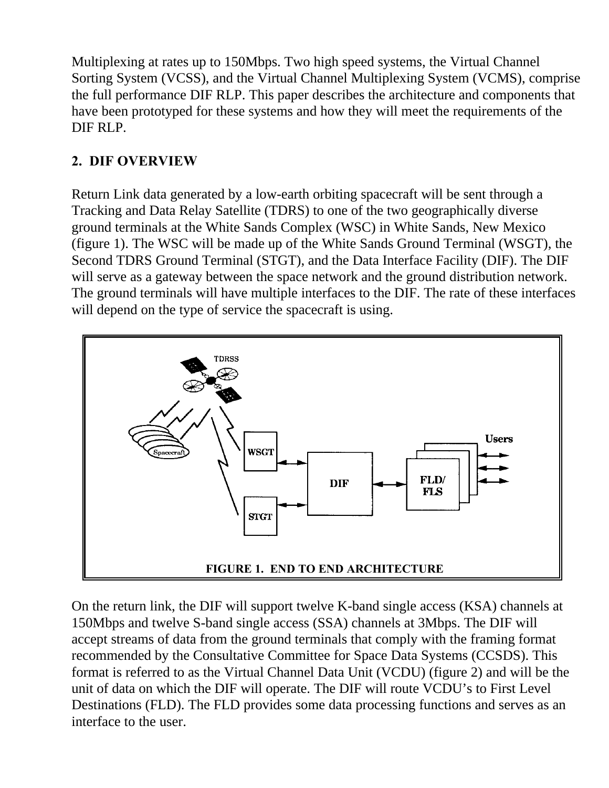Multiplexing at rates up to 150Mbps. Two high speed systems, the Virtual Channel Sorting System (VCSS), and the Virtual Channel Multiplexing System (VCMS), comprise the full performance DIF RLP. This paper describes the architecture and components that have been prototyped for these systems and how they will meet the requirements of the DIF RLP.

# **2. DIF OVERVIEW**

Return Link data generated by a low-earth orbiting spacecraft will be sent through a Tracking and Data Relay Satellite (TDRS) to one of the two geographically diverse ground terminals at the White Sands Complex (WSC) in White Sands, New Mexico (figure 1). The WSC will be made up of the White Sands Ground Terminal (WSGT), the Second TDRS Ground Terminal (STGT), and the Data Interface Facility (DIF). The DIF will serve as a gateway between the space network and the ground distribution network. The ground terminals will have multiple interfaces to the DIF. The rate of these interfaces will depend on the type of service the spacecraft is using.



On the return link, the DIF will support twelve K-band single access (KSA) channels at 150Mbps and twelve S-band single access (SSA) channels at 3Mbps. The DIF will accept streams of data from the ground terminals that comply with the framing format recommended by the Consultative Committee for Space Data Systems (CCSDS). This format is referred to as the Virtual Channel Data Unit (VCDU) (figure 2) and will be the unit of data on which the DIF will operate. The DIF will route VCDU's to First Level Destinations (FLD). The FLD provides some data processing functions and serves as an interface to the user.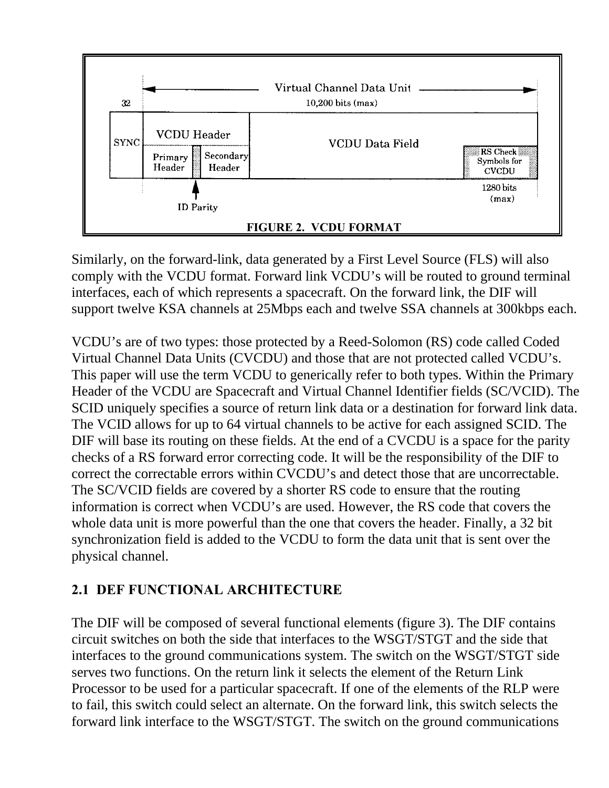

Similarly, on the forward-link, data generated by a First Level Source (FLS) will also comply with the VCDU format. Forward link VCDU's will be routed to ground terminal interfaces, each of which represents a spacecraft. On the forward link, the DIF will support twelve KSA channels at 25Mbps each and twelve SSA channels at 300kbps each.

VCDU's are of two types: those protected by a Reed-Solomon (RS) code called Coded Virtual Channel Data Units (CVCDU) and those that are not protected called VCDU's. This paper will use the term VCDU to generically refer to both types. Within the Primary Header of the VCDU are Spacecraft and Virtual Channel Identifier fields (SC/VCID). The SCID uniquely specifies a source of return link data or a destination for forward link data. The VCID allows for up to 64 virtual channels to be active for each assigned SCID. The DIF will base its routing on these fields. At the end of a CVCDU is a space for the parity checks of a RS forward error correcting code. It will be the responsibility of the DIF to correct the correctable errors within CVCDU's and detect those that are uncorrectable. The SC/VCID fields are covered by a shorter RS code to ensure that the routing information is correct when VCDU's are used. However, the RS code that covers the whole data unit is more powerful than the one that covers the header. Finally, a 32 bit synchronization field is added to the VCDU to form the data unit that is sent over the physical channel.

## **2.1 DEF FUNCTIONAL ARCHITECTURE**

The DIF will be composed of several functional elements (figure 3). The DIF contains circuit switches on both the side that interfaces to the WSGT/STGT and the side that interfaces to the ground communications system. The switch on the WSGT/STGT side serves two functions. On the return link it selects the element of the Return Link Processor to be used for a particular spacecraft. If one of the elements of the RLP were to fail, this switch could select an alternate. On the forward link, this switch selects the forward link interface to the WSGT/STGT. The switch on the ground communications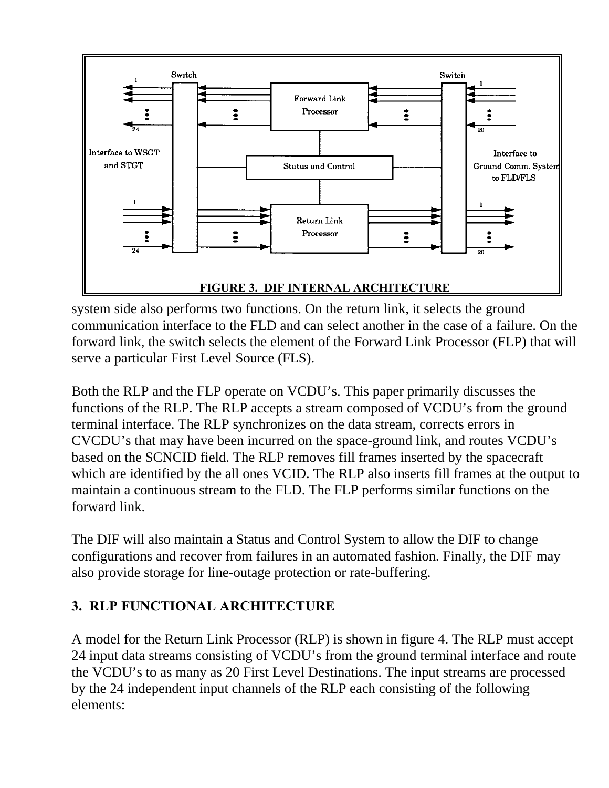

system side also performs two functions. On the return link, it selects the ground communication interface to the FLD and can select another in the case of a failure. On the forward link, the switch selects the element of the Forward Link Processor (FLP) that will serve a particular First Level Source (FLS).

Both the RLP and the FLP operate on VCDU's. This paper primarily discusses the functions of the RLP. The RLP accepts a stream composed of VCDU's from the ground terminal interface. The RLP synchronizes on the data stream, corrects errors in CVCDU's that may have been incurred on the space-ground link, and routes VCDU's based on the SCNCID field. The RLP removes fill frames inserted by the spacecraft which are identified by the all ones VCID. The RLP also inserts fill frames at the output to maintain a continuous stream to the FLD. The FLP performs similar functions on the forward link.

The DIF will also maintain a Status and Control System to allow the DIF to change configurations and recover from failures in an automated fashion. Finally, the DIF may also provide storage for line-outage protection or rate-buffering.

# **3. RLP FUNCTIONAL ARCHITECTURE**

A model for the Return Link Processor (RLP) is shown in figure 4. The RLP must accept 24 input data streams consisting of VCDU's from the ground terminal interface and route the VCDU's to as many as 20 First Level Destinations. The input streams are processed by the 24 independent input channels of the RLP each consisting of the following elements: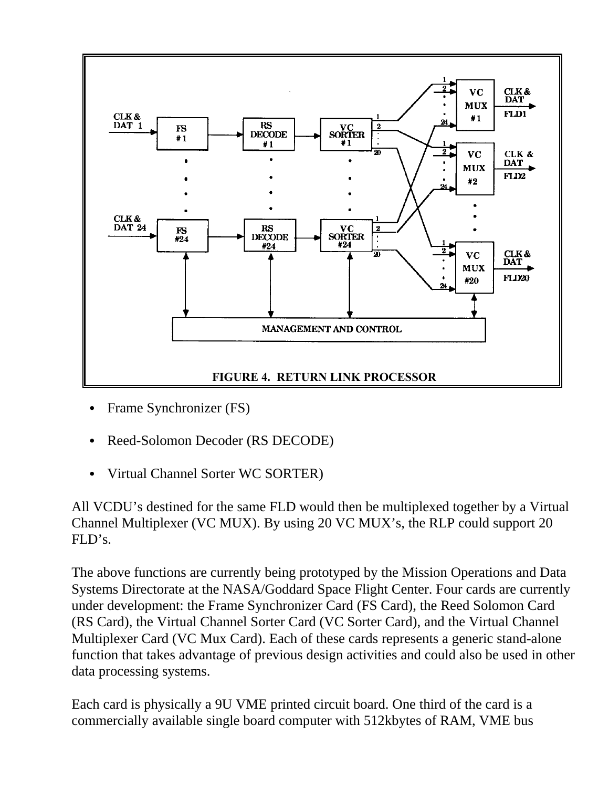

- Frame Synchronizer (FS)
- Reed-Solomon Decoder (RS DECODE)
- Virtual Channel Sorter WC SORTER)

All VCDU's destined for the same FLD would then be multiplexed together by a Virtual Channel Multiplexer (VC MUX). By using 20 VC MUX's, the RLP could support 20  $FLD's.$ 

The above functions are currently being prototyped by the Mission Operations and Data Systems Directorate at the NASA/Goddard Space Flight Center. Four cards are currently under development: the Frame Synchronizer Card (FS Card), the Reed Solomon Card (RS Card), the Virtual Channel Sorter Card (VC Sorter Card), and the Virtual Channel Multiplexer Card (VC Mux Card). Each of these cards represents a generic stand-alone function that takes advantage of previous design activities and could also be used in other data processing systems.

Each card is physically a 9U VME printed circuit board. One third of the card is a commercially available single board computer with 512kbytes of RAM, VME bus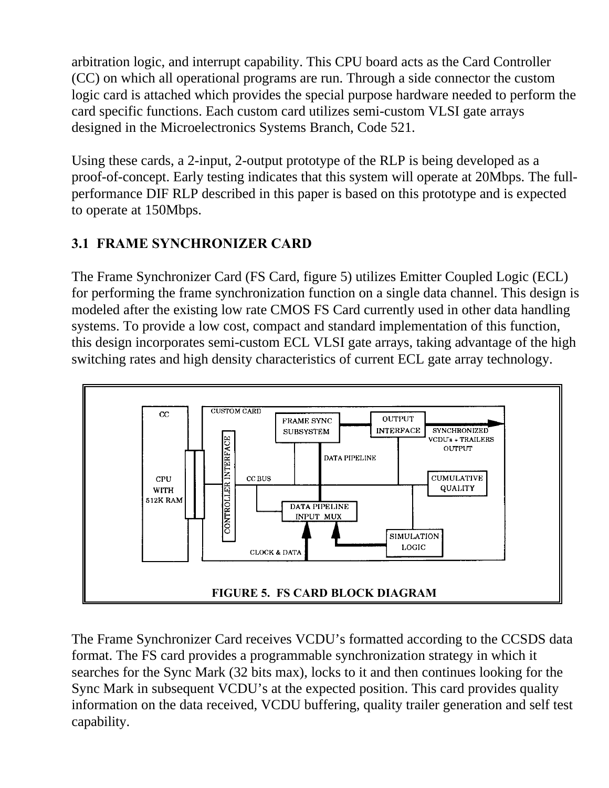arbitration logic, and interrupt capability. This CPU board acts as the Card Controller (CC) on which all operational programs are run. Through a side connector the custom logic card is attached which provides the special purpose hardware needed to perform the card specific functions. Each custom card utilizes semi-custom VLSI gate arrays designed in the Microelectronics Systems Branch, Code 521.

Using these cards, a 2-input, 2-output prototype of the RLP is being developed as a proof-of-concept. Early testing indicates that this system will operate at 20Mbps. The fullperformance DIF RLP described in this paper is based on this prototype and is expected to operate at 150Mbps.

## **3.1 FRAME SYNCHRONIZER CARD**

The Frame Synchronizer Card (FS Card, figure 5) utilizes Emitter Coupled Logic (ECL) for performing the frame synchronization function on a single data channel. This design is modeled after the existing low rate CMOS FS Card currently used in other data handling systems. To provide a low cost, compact and standard implementation of this function, this design incorporates semi-custom ECL VLSI gate arrays, taking advantage of the high switching rates and high density characteristics of current ECL gate array technology.



The Frame Synchronizer Card receives VCDU's formatted according to the CCSDS data format. The FS card provides a programmable synchronization strategy in which it searches for the Sync Mark (32 bits max), locks to it and then continues looking for the Sync Mark in subsequent VCDU's at the expected position. This card provides quality information on the data received, VCDU buffering, quality trailer generation and self test capability.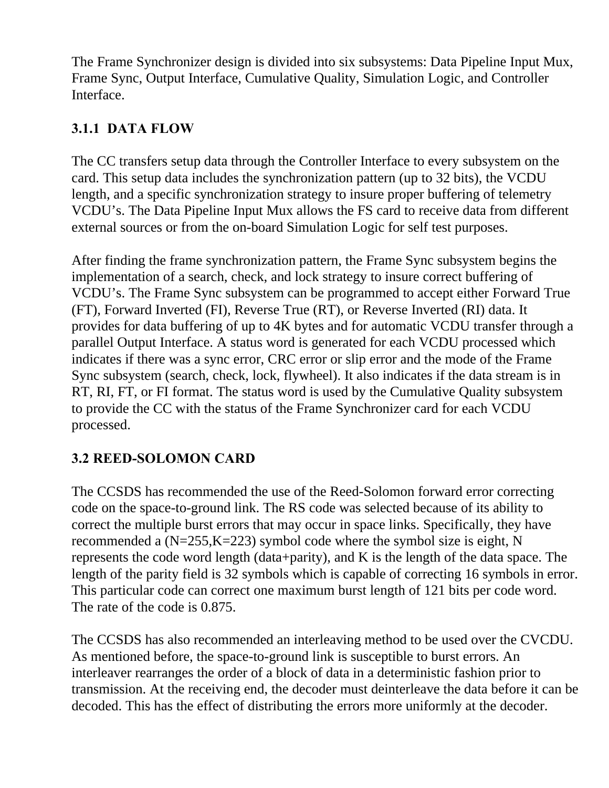The Frame Synchronizer design is divided into six subsystems: Data Pipeline Input Mux, Frame Sync, Output Interface, Cumulative Quality, Simulation Logic, and Controller Interface.

## **3.1.1 DATA FLOW**

The CC transfers setup data through the Controller Interface to every subsystem on the card. This setup data includes the synchronization pattern (up to 32 bits), the VCDU length, and a specific synchronization strategy to insure proper buffering of telemetry VCDU's. The Data Pipeline Input Mux allows the FS card to receive data from different external sources or from the on-board Simulation Logic for self test purposes.

After finding the frame synchronization pattern, the Frame Sync subsystem begins the implementation of a search, check, and lock strategy to insure correct buffering of VCDU's. The Frame Sync subsystem can be programmed to accept either Forward True (FT), Forward Inverted (FI), Reverse True (RT), or Reverse Inverted (RI) data. It provides for data buffering of up to 4K bytes and for automatic VCDU transfer through a parallel Output Interface. A status word is generated for each VCDU processed which indicates if there was a sync error, CRC error or slip error and the mode of the Frame Sync subsystem (search, check, lock, flywheel). It also indicates if the data stream is in RT, RI, FT, or FI format. The status word is used by the Cumulative Quality subsystem to provide the CC with the status of the Frame Synchronizer card for each VCDU processed.

# **3.2 REED-SOLOMON CARD**

The CCSDS has recommended the use of the Reed-Solomon forward error correcting code on the space-to-ground link. The RS code was selected because of its ability to correct the multiple burst errors that may occur in space links. Specifically, they have recommended a (N=255,K=223) symbol code where the symbol size is eight, N represents the code word length (data+parity), and K is the length of the data space. The length of the parity field is 32 symbols which is capable of correcting 16 symbols in error. This particular code can correct one maximum burst length of 121 bits per code word. The rate of the code is 0.875.

The CCSDS has also recommended an interleaving method to be used over the CVCDU. As mentioned before, the space-to-ground link is susceptible to burst errors. An interleaver rearranges the order of a block of data in a deterministic fashion prior to transmission. At the receiving end, the decoder must deinterleave the data before it can be decoded. This has the effect of distributing the errors more uniformly at the decoder.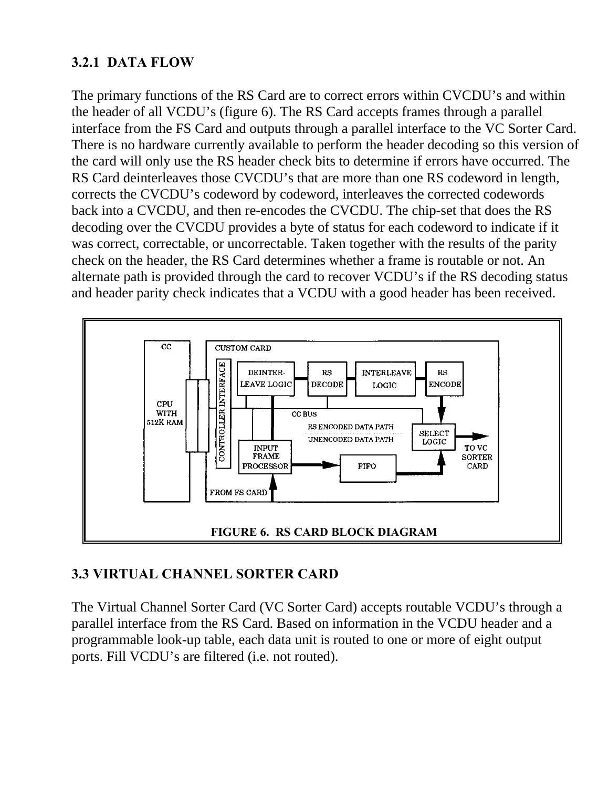### **3.2.1 DATA FLOW**

The primary functions of the RS Card are to correct errors within CVCDU's and within the header of all VCDU's (figure 6). The RS Card accepts frames through a parallel interface from the FS Card and outputs through a parallel interface to the VC Sorter Card. There is no hardware currently available to perform the header decoding so this version of the card will only use the RS header check bits to determine if errors have occurred. The RS Card deinterleaves those CVCDU's that are more than one RS codeword in length, corrects the CVCDU's codeword by codeword, interleaves the corrected codewords back into a CVCDU, and then re-encodes the CVCDU. The chip-set that does the RS decoding over the CVCDU provides a byte of status for each codeword to indicate if it was correct, correctable, or uncorrectable. Taken together with the results of the parity check on the header, the RS Card determines whether a frame is routable or not. An alternate path is provided through the card to recover VCDU's if the RS decoding status and header parity check indicates that a VCDU with a good header has been received.



## **3.3 VIRTUAL CHANNEL SORTER CARD**

The Virtual Channel Sorter Card (VC Sorter Card) accepts routable VCDU's through a parallel interface from the RS Card. Based on information in the VCDU header and a programmable look-up table, each data unit is routed to one or more of eight output ports. Fill VCDU's are filtered (i.e. not routed).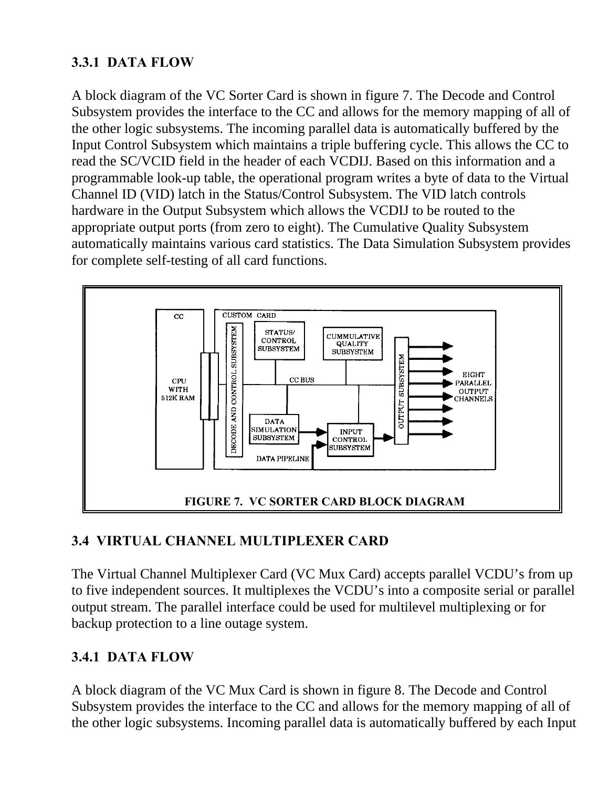## **3.3.1 DATA FLOW**

A block diagram of the VC Sorter Card is shown in figure 7. The Decode and Control Subsystem provides the interface to the CC and allows for the memory mapping of all of the other logic subsystems. The incoming parallel data is automatically buffered by the Input Control Subsystem which maintains a triple buffering cycle. This allows the CC to read the SC/VCID field in the header of each VCDIJ. Based on this information and a programmable look-up table, the operational program writes a byte of data to the Virtual Channel ID (VID) latch in the Status/Control Subsystem. The VID latch controls hardware in the Output Subsystem which allows the VCDIJ to be routed to the appropriate output ports (from zero to eight). The Cumulative Quality Subsystem automatically maintains various card statistics. The Data Simulation Subsystem provides for complete self-testing of all card functions.



# **3.4 VIRTUAL CHANNEL MULTIPLEXER CARD**

The Virtual Channel Multiplexer Card (VC Mux Card) accepts parallel VCDU's from up to five independent sources. It multiplexes the VCDU's into a composite serial or parallel output stream. The parallel interface could be used for multilevel multiplexing or for backup protection to a line outage system.

## **3.4.1 DATA FLOW**

A block diagram of the VC Mux Card is shown in figure 8. The Decode and Control Subsystem provides the interface to the CC and allows for the memory mapping of all of the other logic subsystems. Incoming parallel data is automatically buffered by each Input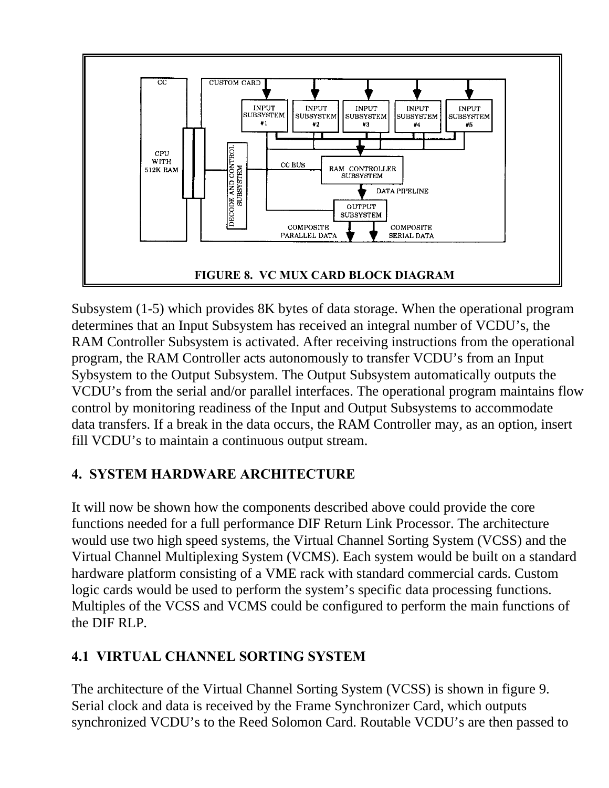

Subsystem (1-5) which provides 8K bytes of data storage. When the operational program determines that an Input Subsystem has received an integral number of VCDU's, the RAM Controller Subsystem is activated. After receiving instructions from the operational program, the RAM Controller acts autonomously to transfer VCDU's from an Input Sybsystem to the Output Subsystem. The Output Subsystem automatically outputs the VCDU's from the serial and/or parallel interfaces. The operational program maintains flow control by monitoring readiness of the Input and Output Subsystems to accommodate data transfers. If a break in the data occurs, the RAM Controller may, as an option, insert fill VCDU's to maintain a continuous output stream.

# **4. SYSTEM HARDWARE ARCHITECTURE**

It will now be shown how the components described above could provide the core functions needed for a full performance DIF Return Link Processor. The architecture would use two high speed systems, the Virtual Channel Sorting System (VCSS) and the Virtual Channel Multiplexing System (VCMS). Each system would be built on a standard hardware platform consisting of a VME rack with standard commercial cards. Custom logic cards would be used to perform the system's specific data processing functions. Multiples of the VCSS and VCMS could be configured to perform the main functions of the DIF RLP.

# **4.1 VIRTUAL CHANNEL SORTING SYSTEM**

The architecture of the Virtual Channel Sorting System (VCSS) is shown in figure 9. Serial clock and data is received by the Frame Synchronizer Card, which outputs synchronized VCDU's to the Reed Solomon Card. Routable VCDU's are then passed to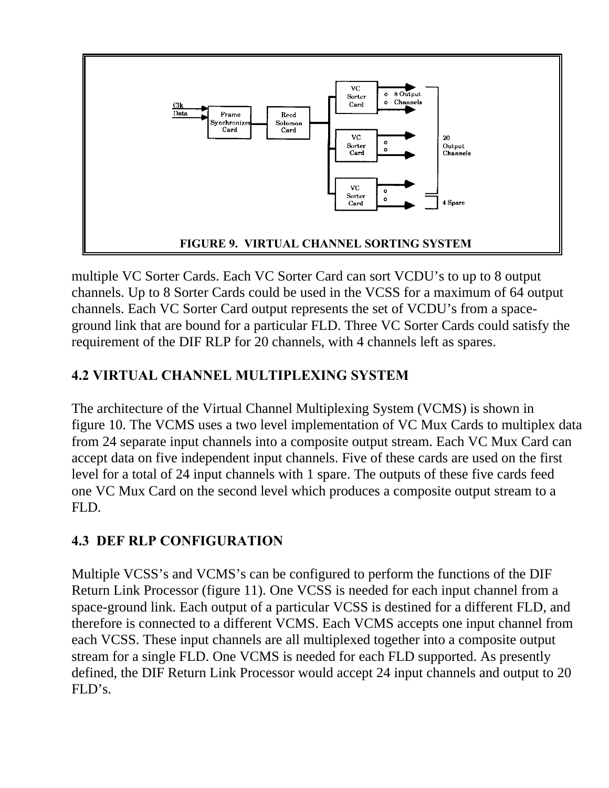

multiple VC Sorter Cards. Each VC Sorter Card can sort VCDU's to up to 8 output channels. Up to 8 Sorter Cards could be used in the VCSS for a maximum of 64 output channels. Each VC Sorter Card output represents the set of VCDU's from a spaceground link that are bound for a particular FLD. Three VC Sorter Cards could satisfy the requirement of the DIF RLP for 20 channels, with 4 channels left as spares.

## **4.2 VIRTUAL CHANNEL MULTIPLEXING SYSTEM**

The architecture of the Virtual Channel Multiplexing System (VCMS) is shown in figure 10. The VCMS uses a two level implementation of VC Mux Cards to multiplex data from 24 separate input channels into a composite output stream. Each VC Mux Card can accept data on five independent input channels. Five of these cards are used on the first level for a total of 24 input channels with 1 spare. The outputs of these five cards feed one VC Mux Card on the second level which produces a composite output stream to a FLD.

# **4.3 DEF RLP CONFIGURATION**

Multiple VCSS's and VCMS's can be configured to perform the functions of the DIF Return Link Processor (figure 11). One VCSS is needed for each input channel from a space-ground link. Each output of a particular VCSS is destined for a different FLD, and therefore is connected to a different VCMS. Each VCMS accepts one input channel from each VCSS. These input channels are all multiplexed together into a composite output stream for a single FLD. One VCMS is needed for each FLD supported. As presently defined, the DIF Return Link Processor would accept 24 input channels and output to 20 FLD's.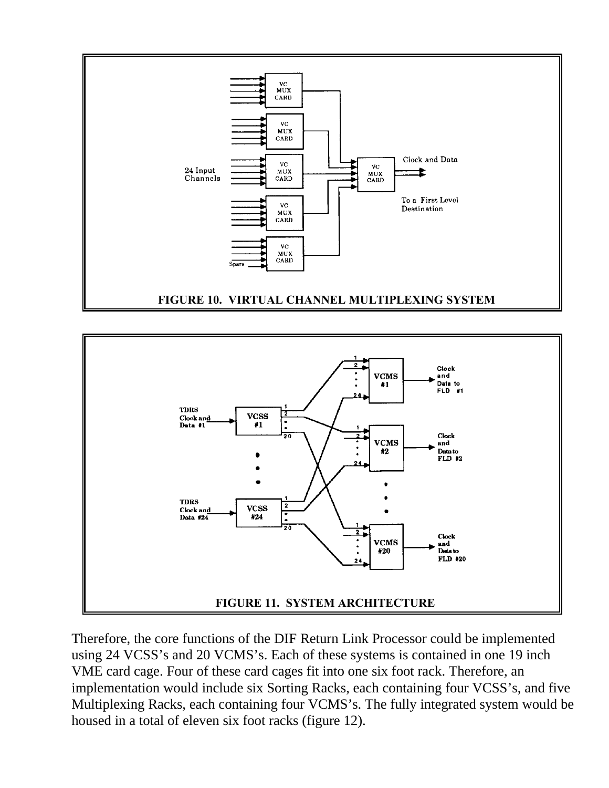



Therefore, the core functions of the DIF Return Link Processor could be implemented using 24 VCSS's and 20 VCMS's. Each of these systems is contained in one 19 inch VME card cage. Four of these card cages fit into one six foot rack. Therefore, an implementation would include six Sorting Racks, each containing four VCSS's, and five Multiplexing Racks, each containing four VCMS's. The fully integrated system would be housed in a total of eleven six foot racks (figure 12).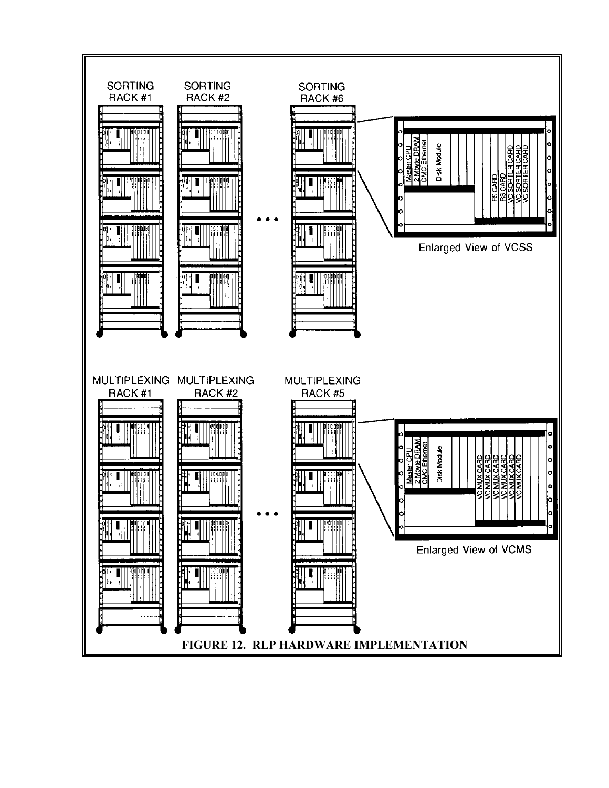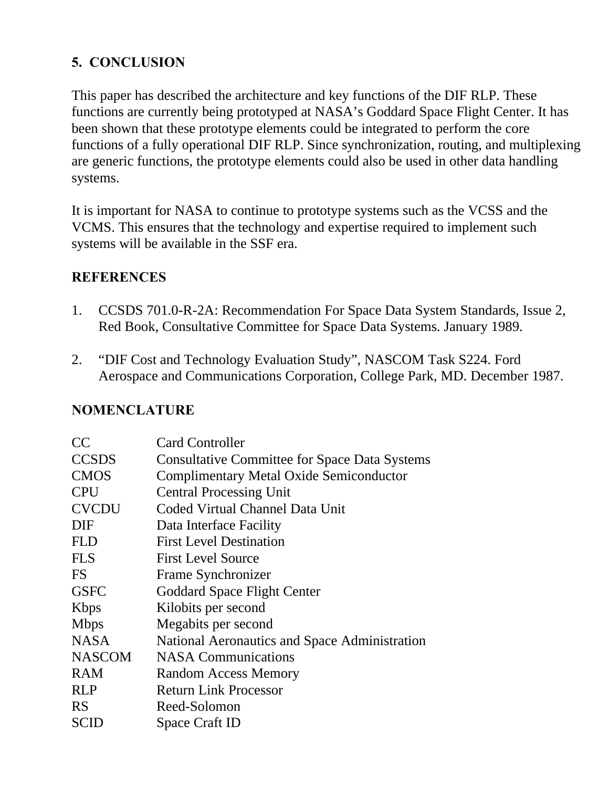## **5. CONCLUSION**

This paper has described the architecture and key functions of the DIF RLP. These functions are currently being prototyped at NASA's Goddard Space Flight Center. It has been shown that these prototype elements could be integrated to perform the core functions of a fully operational DIF RLP. Since synchronization, routing, and multiplexing are generic functions, the prototype elements could also be used in other data handling systems.

It is important for NASA to continue to prototype systems such as the VCSS and the VCMS. This ensures that the technology and expertise required to implement such systems will be available in the SSF era.

#### **REFERENCES**

- 1. CCSDS 701.0-R-2A: Recommendation For Space Data System Standards, Issue 2, Red Book, Consultative Committee for Space Data Systems. January 1989.
- 2. "DIF Cost and Technology Evaluation Study", NASCOM Task S224. Ford Aerospace and Communications Corporation, College Park, MD. December 1987.

#### **NOMENCLATURE**

| CC            | <b>Card Controller</b>                               |
|---------------|------------------------------------------------------|
| <b>CCSDS</b>  | <b>Consultative Committee for Space Data Systems</b> |
| <b>CMOS</b>   | <b>Complimentary Metal Oxide Semiconductor</b>       |
| <b>CPU</b>    | <b>Central Processing Unit</b>                       |
| <b>CVCDU</b>  | Coded Virtual Channel Data Unit                      |
| <b>DIF</b>    | Data Interface Facility                              |
| <b>FLD</b>    | <b>First Level Destination</b>                       |
| <b>FLS</b>    | <b>First Level Source</b>                            |
| <b>FS</b>     | Frame Synchronizer                                   |
| <b>GSFC</b>   | <b>Goddard Space Flight Center</b>                   |
| <b>K</b> bps  | Kilobits per second                                  |
| <b>Mbps</b>   | Megabits per second                                  |
| <b>NASA</b>   | National Aeronautics and Space Administration        |
| <b>NASCOM</b> | <b>NASA Communications</b>                           |
| <b>RAM</b>    | <b>Random Access Memory</b>                          |
| <b>RLP</b>    | <b>Return Link Processor</b>                         |
| <b>RS</b>     | Reed-Solomon                                         |
| SCID          | Space Craft ID                                       |